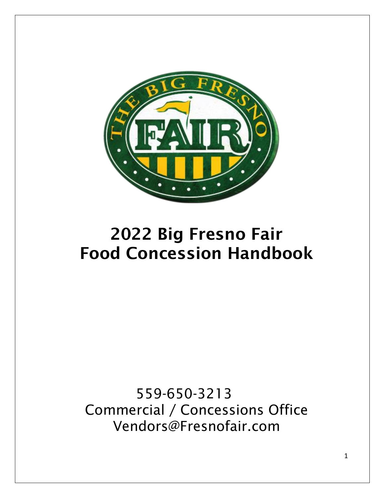

# 2022 Big Fresno Fair Food Concession Handbook

559-650-3213 Commercial / Concessions Office Vendors@Fresnofair.com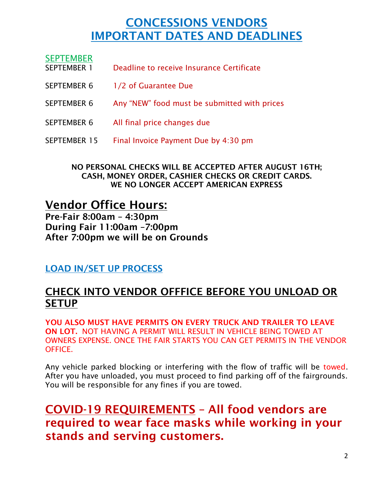# CONCESSIONS VENDORS IMPORTANT DATES AND DEADLINES

| <b>SEPTEMBER</b><br><b>SEPTEMBER 1</b> | Deadline to receive Insurance Certificate    |
|----------------------------------------|----------------------------------------------|
| SEPTEMBER 6                            | 1/2 of Guarantee Due                         |
| <b>SEPTEMBER 6</b>                     | Any "NEW" food must be submitted with prices |
| <b>SEPTEMBER 6</b>                     | All final price changes due                  |
| SEPTEMBER 15                           | Final Invoice Payment Due by 4:30 pm         |

NO PERSONAL CHECKS WILL BE ACCEPTED AFTER AUGUST 16TH; CASH, MONEY ORDER, CASHIER CHECKS OR CREDIT CARDS. WE NO LONGER ACCEPT AMERICAN EXPRESS

Vendor Office Hours: Pre-Fair 8:00am – 4:30pm During Fair 11:00am –7:00pm After 7:00pm we will be on Grounds

LOAD IN/SET UP PROCESS

### CHECK INTO VENDOR OFFFICE BEFORE YOU UNLOAD OR **SETUP**

YOU ALSO MUST HAVE PERMITS ON EVERY TRUCK AND TRAILER TO LEAVE ON LOT. NOT HAVING A PERMIT WILL RESULT IN VEHICLE BEING TOWED AT OWNERS EXPENSE. ONCE THE FAIR STARTS YOU CAN GET PERMITS IN THE VENDOR **OFFICE** 

Any vehicle parked blocking or interfering with the flow of traffic will be towed. After you have unloaded, you must proceed to find parking off of the fairgrounds. You will be responsible for any fines if you are towed.

COVID-19 REQUIREMENTS – All food vendors are required to wear face masks while working in your stands and serving customers.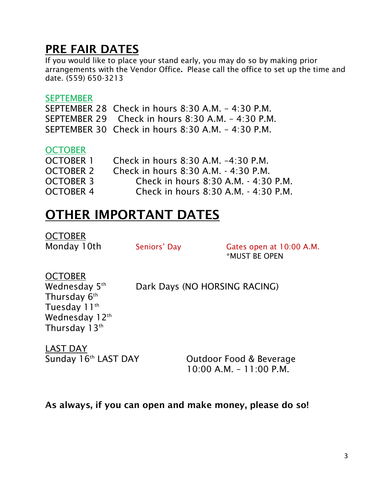# PRE FAIR DATES

If you would like to place your stand early, you may do so by making prior arrangements with the Vendor Office. Please call the office to set up the time and date. (559) 650-3213

#### **SEPTEMBER**

SEPTEMBER 28 Check in hours 8:30 A.M. – 4:30 P.M. SEPTEMBER 29 Check in hours 8:30 A.M. – 4:30 P.M. SEPTEMBER 30 Check in hours 8:30 A.M. – 4:30 P.M.

#### **OCTOBER**

| OCTOBER 1        | Check in hours 8:30 A.M. -4:30 P.M.  |
|------------------|--------------------------------------|
| OCTOBER 2        | Check in hours 8:30 A.M. - 4:30 P.M. |
| <b>OCTOBER 3</b> | Check in hours 8:30 A.M. - 4:30 P.M. |
| <b>OCTOBER 4</b> | Check in hours 8:30 A.M. - 4:30 P.M. |

# OTHER IMPORTANT DATES

**OCTOBER** 

Monday 10th Seniors' Day Gates open at 10:00 A.M. \*MUST BE OPEN

OCTOBER Wednesday 5<sup>th</sup> Thursday  $6^{\text{\tiny th}}$ Tuesday 11<sup>th</sup> Wednesday 12<sup>th</sup> Thursday 13th

Dark Days (NO HORSING RACING)

LAST DAY Sunday 16th LAST DAY

Outdoor Food & Beverage 10:00 A.M. – 11:00 P.M.

### As always, if you can open and make money, please do so!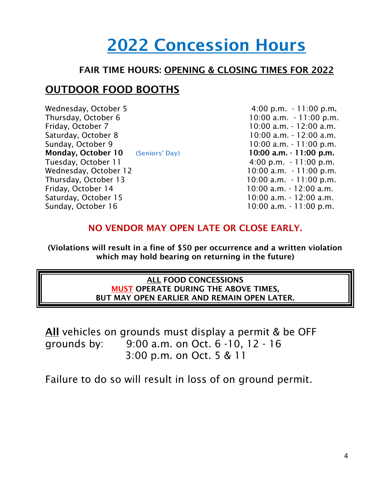# 2022 Concession Hours

### FAIR TIME HOURS: OPENING & CLOSING TIMES FOR 2022

### OUTDOOR FOOD BOOTHS

Wednesday, October 5 6 11:00 p.m. - 11:00 p.m. Thursday, October 6 10:00 a.m. - 11:00 p.m. Friday, October 7 10:00 a.m. - 12:00 a.m. Saturday, October 8 10:00 a.m. - 12:00 a.m. Sunday, October 9 10:00 a.m. - 11:00 p.m. Monday, October 10 (Seniors' Day) 10:00 a.m. - 11:00 p.m. Tuesday, October 11 1 1:00 p.m. - 11:00 p.m. Wednesday, October 12 10:00 a.m. - 11:00 p.m. Thursday, October 13 10:00 a.m. - 11:00 p.m. Friday, October 14 10:00 a.m. - 12:00 a.m. Saturday, October 15 10:00 a.m. - 12:00 a.m. Sunday, October 16 10:00 a.m. - 11:00 p.m.

### NO VENDOR MAY OPEN LATE OR CLOSE EARLY.

(Violations will result in a fine of \$50 per occurrence and a written violation which may hold bearing on returning in the future)

#### ALL FOOD CONCESSIONS MUST OPERATE DURING THE ABOVE TIMES, BUT MAY OPEN EARLIER AND REMAIN OPEN LATER.

All vehicles on grounds must display a permit & be OFF grounds by: 9:00 a.m. on Oct. 6 -10, 12 - 16 3:00 p.m. on Oct. 5 & 11

Failure to do so will result in loss of on ground permit.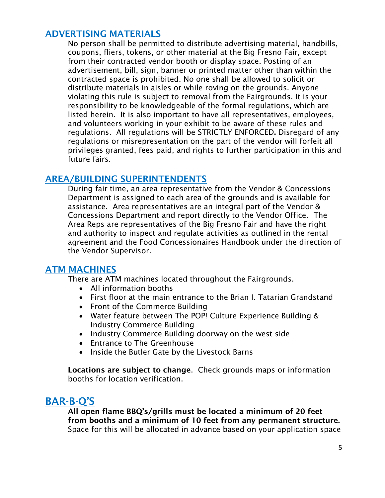### ADVERTISING MATERIALS

No person shall be permitted to distribute advertising material, handbills, coupons, fliers, tokens, or other material at the Big Fresno Fair, except from their contracted vendor booth or display space. Posting of an advertisement, bill, sign, banner or printed matter other than within the contracted space is prohibited. No one shall be allowed to solicit or distribute materials in aisles or while roving on the grounds. Anyone violating this rule is subject to removal from the Fairgrounds. It is your responsibility to be knowledgeable of the formal regulations, which are listed herein. It is also important to have all representatives, employees, and volunteers working in your exhibit to be aware of these rules and regulations. All regulations will be STRICTLY ENFORCED. Disregard of any regulations or misrepresentation on the part of the vendor will forfeit all privileges granted, fees paid, and rights to further participation in this and future fairs.

### AREA/BUILDING SUPERINTENDENTS

During fair time, an area representative from the Vendor & Concessions Department is assigned to each area of the grounds and is available for assistance. Area representatives are an integral part of the Vendor & Concessions Department and report directly to the Vendor Office. The Area Reps are representatives of the Big Fresno Fair and have the right and authority to inspect and regulate activities as outlined in the rental agreement and the Food Concessionaires Handbook under the direction of the Vendor Supervisor.

#### ATM MACHINES

There are ATM machines located throughout the Fairgrounds.

- All information booths
- First floor at the main entrance to the Brian I. Tatarian Grandstand
- Front of the Commerce Building
- Water feature between The POP! Culture Experience Building & Industry Commerce Building
- Industry Commerce Building doorway on the west side
- Entrance to The Greenhouse
- Inside the Butler Gate by the Livestock Barns

Locations are subject to change. Check grounds maps or information booths for location verification.

### BAR-B-Q'S

All open flame BBQ's/grills must be located a minimum of 20 feet from booths and a minimum of 10 feet from any permanent structure. Space for this will be allocated in advance based on your application space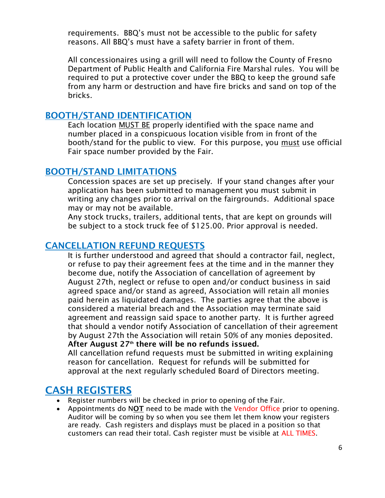requirements. BBQ's must not be accessible to the public for safety reasons. All BBQ's must have a safety barrier in front of them.

All concessionaires using a grill will need to follow the County of Fresno Department of Public Health and California Fire Marshal rules. You will be required to put a protective cover under the BBQ to keep the ground safe from any harm or destruction and have fire bricks and sand on top of the bricks.

#### BOOTH/STAND IDENTIFICATION

Each location MUST BE properly identified with the space name and number placed in a conspicuous location visible from in front of the booth/stand for the public to view. For this purpose, you must use official Fair space number provided by the Fair.

#### BOOTH/STAND LIMITATIONS

Concession spaces are set up precisely. If your stand changes after your application has been submitted to management you must submit in writing any changes prior to arrival on the fairgrounds. Additional space may or may not be available.

Any stock trucks, trailers, additional tents, that are kept on grounds will be subject to a stock truck fee of \$125.00. Prior approval is needed.

### CANCELLATION REFUND REQUESTS

It is further understood and agreed that should a contractor fail, neglect, or refuse to pay their agreement fees at the time and in the manner they become due, notify the Association of cancellation of agreement by August 27th, neglect or refuse to open and/or conduct business in said agreed space and/or stand as agreed, Association will retain all monies paid herein as liquidated damages. The parties agree that the above is considered a material breach and the Association may terminate said agreement and reassign said space to another party. It is further agreed that should a vendor notify Association of cancellation of their agreement by August 27th the Association will retain 50% of any monies deposited. After August  $27<sup>th</sup>$  there will be no refunds issued.

All cancellation refund requests must be submitted in writing explaining reason for cancellation. Request for refunds will be submitted for approval at the next regularly scheduled Board of Directors meeting.

### CASH REGISTERS

- Register numbers will be checked in prior to opening of the Fair.
- Appointments do NOT need to be made with the Vendor Office prior to opening. Auditor will be coming by so when you see them let them know your registers are ready. Cash registers and displays must be placed in a position so that customers can read their total. Cash register must be visible at ALL TIMES.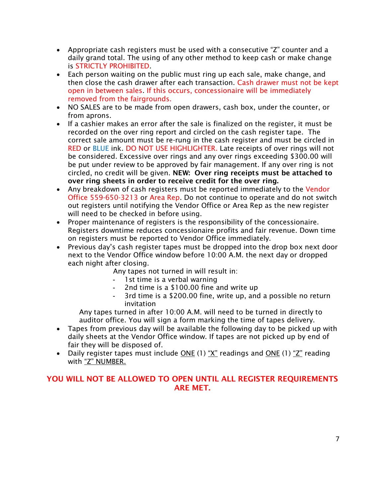- Appropriate cash registers must be used with a consecutive "Z" counter and a daily grand total. The using of any other method to keep cash or make change is STRICTLY PROHIBITED.
- Each person waiting on the public must ring up each sale, make change, and then close the cash drawer after each transaction. Cash drawer must not be kept open in between sales. If this occurs, concessionaire will be immediately removed from the fairgrounds.
- NO SALES are to be made from open drawers, cash box, under the counter, or from aprons.
- If a cashier makes an error after the sale is finalized on the register, it must be recorded on the over ring report and circled on the cash register tape. The correct sale amount must be re-rung in the cash register and must be circled in RED or BLUE ink. DO NOT USE HIGHLIGHTER. Late receipts of over rings will not be considered. Excessive over rings and any over rings exceeding \$300.00 will be put under review to be approved by fair management. If any over ring is not circled, no credit will be given. NEW: Over ring receipts must be attached to over ring sheets in order to receive credit for the over ring.
- Any breakdown of cash registers must be reported immediately to the Vendor Office 559-650-3213 or Area Rep. Do not continue to operate and do not switch out registers until notifying the Vendor Office or Area Rep as the new register will need to be checked in before using.
- Proper maintenance of registers is the responsibility of the concessionaire. Registers downtime reduces concessionaire profits and fair revenue. Down time on registers must be reported to Vendor Office immediately.
- Previous day's cash register tapes must be dropped into the drop box next door next to the Vendor Office window before 10:00 A.M. the next day or dropped each night after closing.

Any tapes not turned in will result in:

- 1st time is a verbal warning
- 2nd time is a \$100.00 fine and write up
- 3rd time is a \$200.00 fine, write up, and a possible no return invitation

Any tapes turned in after 10:00 A.M. will need to be turned in directly to auditor office. You will sign a form marking the time of tapes delivery.

- Tapes from previous day will be available the following day to be picked up with daily sheets at the Vendor Office window. If tapes are not picked up by end of fair they will be disposed of.
- Daily register tapes must include ONE (1) "X" readings and ONE (1) "Z" reading with "Z" NUMBER.

#### YOU WILL NOT BE ALLOWED TO OPEN UNTIL ALL REGISTER REQUIREMENTS ARE MET.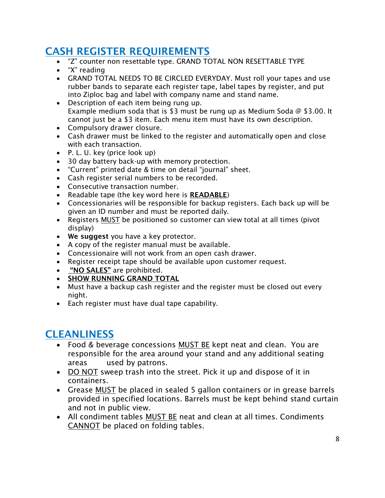## CASH REGISTER REQUIREMENTS

- "Z" counter non resettable type. GRAND TOTAL NON RESETTABLE TYPE
- "X" reading
- GRAND TOTAL NEEDS TO BE CIRCLED EVERYDAY. Must roll your tapes and use rubber bands to separate each register tape, label tapes by register, and put into Ziploc bag and label with company name and stand name.
- Description of each item being rung up. Example medium soda that is \$3 must be rung up as Medium Soda  $\varnothing$  \$3.00. It cannot just be a \$3 item. Each menu item must have its own description.
- Compulsory drawer closure.
- Cash drawer must be linked to the register and automatically open and close with each transaction.
- P. L. U. key (price look up)
- 30 day battery back-up with memory protection.
- "Current" printed date & time on detail "journal" sheet.
- Cash register serial numbers to be recorded.
- Consecutive transaction number.
- Readable tape (the key word here is **READABLE**)
- Concessionaries will be responsible for backup registers. Each back up will be given an ID number and must be reported daily.
- Registers **MUST** be positioned so customer can view total at all times (pivot display)
- We suggest you have a key protector.
- A copy of the register manual must be available.
- Concessionaire will not work from an open cash drawer.
- Register receipt tape should be available upon customer request.
- "NO SALES" are prohibited.
- **SHOW RUNNING GRAND TOTAL**
- Must have a backup cash register and the register must be closed out every night.
- Each register must have dual tape capability.

### **CLEANLINESS**

- Food & beverage concessions MUST BE kept neat and clean. You are responsible for the area around your stand and any additional seating areas used by patrons.
- DO NOT sweep trash into the street. Pick it up and dispose of it in containers.
- Grease MUST be placed in sealed 5 gallon containers or in grease barrels provided in specified locations. Barrels must be kept behind stand curtain and not in public view.
- All condiment tables MUST BE neat and clean at all times. Condiments CANNOT be placed on folding tables.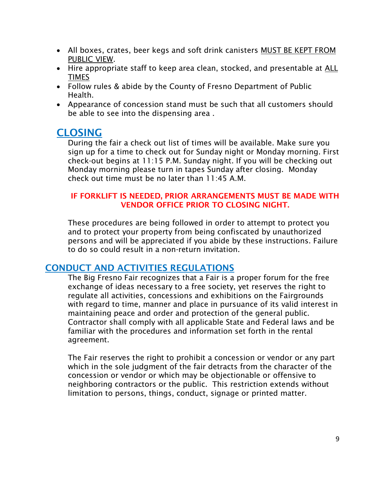- All boxes, crates, beer kegs and soft drink canisters MUST BE KEPT FROM PUBLIC VIEW.
- Hire appropriate staff to keep area clean, stocked, and presentable at ALL TIMES
- Follow rules & abide by the County of Fresno Department of Public Health.
- Appearance of concession stand must be such that all customers should be able to see into the dispensing area .

### **CLOSING**

During the fair a check out list of times will be available. Make sure you sign up for a time to check out for Sunday night or Monday morning. First check-out begins at 11:15 P.M. Sunday night. If you will be checking out Monday morning please turn in tapes Sunday after closing. Monday check out time must be no later than 11:45 A.M.

#### IF FORKLIFT IS NEEDED, PRIOR ARRANGEMENTS MUST BE MADE WITH VENDOR OFFICE PRIOR TO CLOSING NIGHT.

These procedures are being followed in order to attempt to protect you and to protect your property from being confiscated by unauthorized persons and will be appreciated if you abide by these instructions. Failure to do so could result in a non-return invitation.

### CONDUCT AND ACTIVITIES REGULATIONS

The Big Fresno Fair recognizes that a Fair is a proper forum for the free exchange of ideas necessary to a free society, yet reserves the right to regulate all activities, concessions and exhibitions on the Fairgrounds with regard to time, manner and place in pursuance of its valid interest in maintaining peace and order and protection of the general public. Contractor shall comply with all applicable State and Federal laws and be familiar with the procedures and information set forth in the rental agreement.

The Fair reserves the right to prohibit a concession or vendor or any part which in the sole judgment of the fair detracts from the character of the concession or vendor or which may be objectionable or offensive to neighboring contractors or the public. This restriction extends without limitation to persons, things, conduct, signage or printed matter.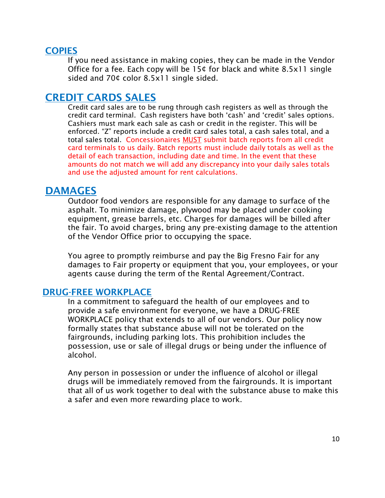#### **COPIES**

If you need assistance in making copies, they can be made in the Vendor Office for a fee. Each copy will be 15¢ for black and white 8.5x11 single sided and 70¢ color 8.5x11 single sided.

### CREDIT CARDS SALES

Credit card sales are to be rung through cash registers as well as through the credit card terminal. Cash registers have both 'cash' and 'credit' sales options. Cashiers must mark each sale as cash or credit in the register. This will be enforced. "Z" reports include a credit card sales total, a cash sales total, and a total sales total. Concessionaires MUST submit batch reports from all credit card terminals to us daily. Batch reports must include daily totals as well as the detail of each transaction, including date and time. In the event that these amounts do not match we will add any discrepancy into your daily sales totals and use the adjusted amount for rent calculations.

### DAMAGES

Outdoor food vendors are responsible for any damage to surface of the asphalt. To minimize damage, plywood may be placed under cooking equipment, grease barrels, etc. Charges for damages will be billed after the fair. To avoid charges, bring any pre-existing damage to the attention of the Vendor Office prior to occupying the space.

You agree to promptly reimburse and pay the Big Fresno Fair for any damages to Fair property or equipment that you, your employees, or your agents cause during the term of the Rental Agreement/Contract.

#### DRUG-FREE WORKPLACE

In a commitment to safeguard the health of our employees and to provide a safe environment for everyone, we have a DRUG-FREE WORKPLACE policy that extends to all of our vendors. Our policy now formally states that substance abuse will not be tolerated on the fairgrounds, including parking lots. This prohibition includes the possession, use or sale of illegal drugs or being under the influence of alcohol.

Any person in possession or under the influence of alcohol or illegal drugs will be immediately removed from the fairgrounds. It is important that all of us work together to deal with the substance abuse to make this a safer and even more rewarding place to work.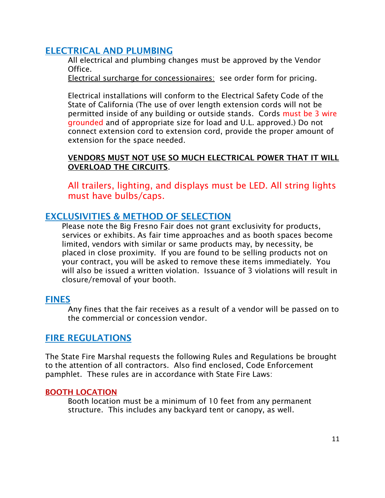### ELECTRICAL AND PLUMBING

All electrical and plumbing changes must be approved by the Vendor Office.

Electrical surcharge for concessionaires: see order form for pricing.

Electrical installations will conform to the Electrical Safety Code of the State of California (The use of over length extension cords will not be permitted inside of any building or outside stands. Cords must be 3 wire grounded and of appropriate size for load and U.L. approved.) Do not connect extension cord to extension cord, provide the proper amount of extension for the space needed.

#### VENDORS MUST NOT USE SO MUCH ELECTRICAL POWER THAT IT WILL OVERLOAD THE CIRCUITS.

All trailers, lighting, and displays must be LED. All string lights must have bulbs/caps.

#### EXCLUSIVITIES & METHOD OF SELECTION

Please note the Big Fresno Fair does not grant exclusivity for products, services or exhibits. As fair time approaches and as booth spaces become limited, vendors with similar or same products may, by necessity, be placed in close proximity. If you are found to be selling products not on your contract, you will be asked to remove these items immediately. You will also be issued a written violation. Issuance of 3 violations will result in closure/removal of your booth.

#### FINES

Any fines that the fair receives as a result of a vendor will be passed on to the commercial or concession vendor.

#### FIRE REGULATIONS

The State Fire Marshal requests the following Rules and Regulations be brought to the attention of all contractors. Also find enclosed, Code Enforcement pamphlet. These rules are in accordance with State Fire Laws:

#### BOOTH LOCATION

Booth location must be a minimum of 10 feet from any permanent structure. This includes any backyard tent or canopy, as well.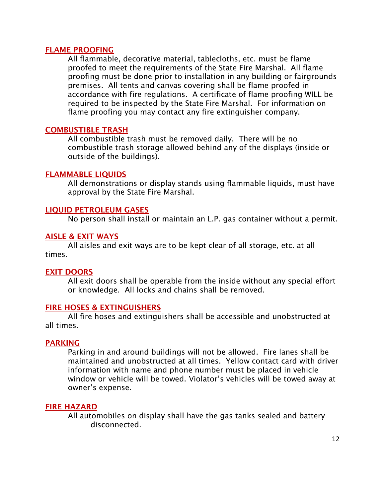#### FLAME PROOFING

All flammable, decorative material, tablecloths, etc. must be flame proofed to meet the requirements of the State Fire Marshal. All flame proofing must be done prior to installation in any building or fairgrounds premises. All tents and canvas covering shall be flame proofed in accordance with fire regulations. A certificate of flame proofing WILL be required to be inspected by the State Fire Marshal. For information on flame proofing you may contact any fire extinguisher company.

#### COMBUSTIBLE TRASH

All combustible trash must be removed daily. There will be no combustible trash storage allowed behind any of the displays (inside or outside of the buildings).

#### FLAMMABLE LIQUIDS

All demonstrations or display stands using flammable liquids, must have approval by the State Fire Marshal.

#### LIQUID PETROLEUM GASES

No person shall install or maintain an L.P. gas container without a permit.

#### AISLE & EXIT WAYS

All aisles and exit ways are to be kept clear of all storage, etc. at all times.

#### EXIT DOORS

All exit doors shall be operable from the inside without any special effort or knowledge. All locks and chains shall be removed.

#### FIRE HOSES & EXTINGUISHERS

All fire hoses and extinguishers shall be accessible and unobstructed at all times.

#### PARKING

Parking in and around buildings will not be allowed. Fire lanes shall be maintained and unobstructed at all times. Yellow contact card with driver information with name and phone number must be placed in vehicle window or vehicle will be towed. Violator's vehicles will be towed away at owner's expense.

#### FIRE HAZARD

All automobiles on display shall have the gas tanks sealed and battery disconnected.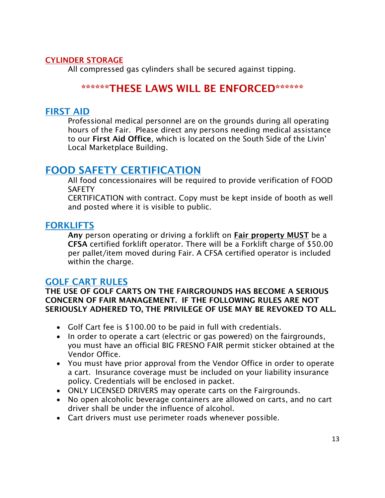#### CYLINDER STORAGE

All compressed gas cylinders shall be secured against tipping.

### \*\*\*\*\*\*THESE LAWS WILL BE ENFORCED\*\*\*\*\*\*

#### FIRST AID

Professional medical personnel are on the grounds during all operating hours of the Fair. Please direct any persons needing medical assistance to our First Aid Office, which is located on the South Side of the Livin' Local Marketplace Building.

### FOOD SAFETY CERTIFICATION

All food concessionaires will be required to provide verification of FOOD **SAFETY** 

CERTIFICATION with contract. Copy must be kept inside of booth as well and posted where it is visible to public.

#### **FORKLIFTS**

Any person operating or driving a forklift on **Fair property MUST** be a CFSA certified forklift operator. There will be a Forklift charge of \$50.00 per pallet/item moved during Fair. A CFSA certified operator is included within the charge.

#### GOLF CART RULES

#### THE USE OF GOLF CARTS ON THE FAIRGROUNDS HAS BECOME A SERIOUS CONCERN OF FAIR MANAGEMENT. IF THE FOLLOWING RULES ARE NOT SERIOUSLY ADHERED TO, THE PRIVILEGE OF USE MAY BE REVOKED TO ALL.

- Golf Cart fee is \$100.00 to be paid in full with credentials.
- In order to operate a cart (electric or gas powered) on the fairgrounds, you must have an official BIG FRESNO FAIR permit sticker obtained at the Vendor Office.
- You must have prior approval from the Vendor Office in order to operate a cart. Insurance coverage must be included on your liability insurance policy. Credentials will be enclosed in packet.
- ONLY LICENSED DRIVERS may operate carts on the Fairgrounds.
- No open alcoholic beverage containers are allowed on carts, and no cart driver shall be under the influence of alcohol.
- Cart drivers must use perimeter roads whenever possible.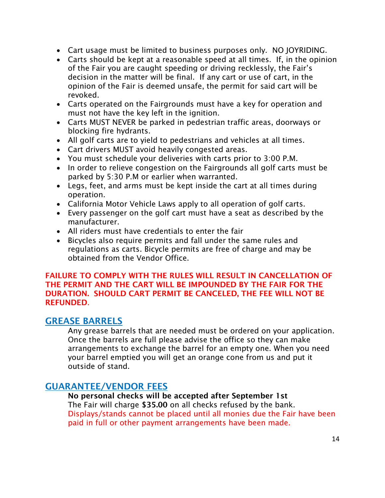- Cart usage must be limited to business purposes only. NO JOYRIDING.
- Carts should be kept at a reasonable speed at all times. If, in the opinion of the Fair you are caught speeding or driving recklessly, the Fair's decision in the matter will be final. If any cart or use of cart, in the opinion of the Fair is deemed unsafe, the permit for said cart will be revoked.
- Carts operated on the Fairgrounds must have a key for operation and must not have the key left in the ignition.
- Carts MUST NEVER be parked in pedestrian traffic areas, doorways or blocking fire hydrants.
- All golf carts are to yield to pedestrians and vehicles at all times.
- Cart drivers MUST avoid heavily congested areas.
- You must schedule your deliveries with carts prior to 3:00 P.M.
- In order to relieve congestion on the Fairgrounds all golf carts must be parked by 5:30 P.M or earlier when warranted.
- Legs, feet, and arms must be kept inside the cart at all times during operation.
- California Motor Vehicle Laws apply to all operation of golf carts.
- Every passenger on the golf cart must have a seat as described by the manufacturer.
- All riders must have credentials to enter the fair
- Bicycles also require permits and fall under the same rules and regulations as carts. Bicycle permits are free of charge and may be obtained from the Vendor Office.

#### FAILURE TO COMPLY WITH THE RULES WILL RESULT IN CANCELLATION OF THE PERMIT AND THE CART WILL BE IMPOUNDED BY THE FAIR FOR THE DURATION. SHOULD CART PERMIT BE CANCELED, THE FEE WILL NOT BE **REFUNDED.**

#### GREASE BARRELS

Any grease barrels that are needed must be ordered on your application. Once the barrels are full please advise the office so they can make arrangements to exchange the barrel for an empty one. When you need your barrel emptied you will get an orange cone from us and put it outside of stand.

### GUARANTEE/VENDOR FEES

#### No personal checks will be accepted after September 1st

The Fair will charge \$35.00 on all checks refused by the bank. Displays/stands cannot be placed until all monies due the Fair have been paid in full or other payment arrangements have been made.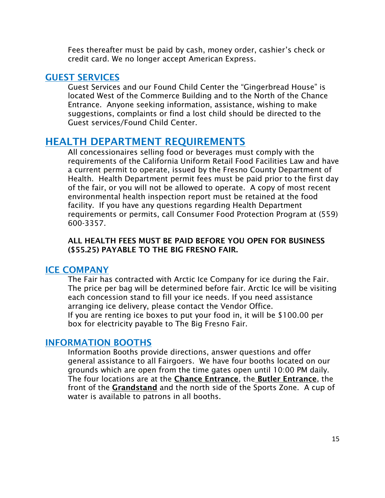Fees thereafter must be paid by cash, money order, cashier's check or credit card. We no longer accept American Express.

#### GUEST SERVICES

Guest Services and our Found Child Center the "Gingerbread House" is located West of the Commerce Building and to the North of the Chance Entrance. Anyone seeking information, assistance, wishing to make suggestions, complaints or find a lost child should be directed to the Guest services/Found Child Center.

### HEALTH DEPARTMENT REQUIREMENTS

All concessionaires selling food or beverages must comply with the requirements of the California Uniform Retail Food Facilities Law and have a current permit to operate, issued by the Fresno County Department of Health. Health Department permit fees must be paid prior to the first day of the fair, or you will not be allowed to operate. A copy of most recent environmental health inspection report must be retained at the food facility. If you have any questions regarding Health Department requirements or permits, call Consumer Food Protection Program at (559) 600-3357.

#### ALL HEALTH FEES MUST BE PAID BEFORE YOU OPEN FOR BUSINESS (\$55.25) PAYABLE TO THE BIG FRESNO FAIR.

#### ICE COMPANY

The Fair has contracted with Arctic Ice Company for ice during the Fair. The price per bag will be determined before fair. Arctic Ice will be visiting each concession stand to fill your ice needs. If you need assistance arranging ice delivery, please contact the Vendor Office. If you are renting ice boxes to put your food in, it will be \$100.00 per box for electricity payable to The Big Fresno Fair.

#### INFORMATION BOOTHS

Information Booths provide directions, answer questions and offer general assistance to all Fairgoers. We have four booths located on our grounds which are open from the time gates open until 10:00 PM daily. The four locations are at the Chance Entrance, the Butler Entrance, the front of the Grandstand and the north side of the Sports Zone. A cup of water is available to patrons in all booths.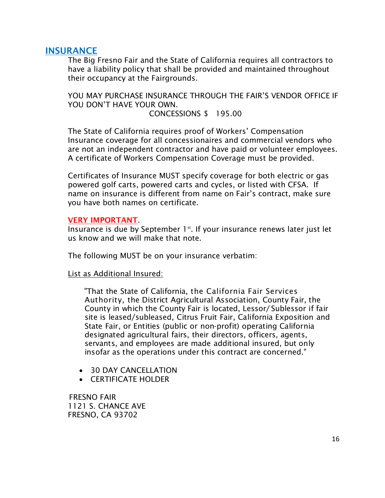#### INSURANCE

The Big Fresno Fair and the State of California requires all contractors to have a liability policy that shall be provided and maintained throughout their occupancy at the Fairgrounds.

YOU MAY PURCHASE INSURANCE THROUGH THE FAIR'S VENDOR OFFICE IF YOU DON'T HAVE YOUR OWN.

CONCESSIONS \$ 195.00

The State of California requires proof of Workers' Compensation Insurance coverage for all concessionaires and commercial vendors who are not an independent contractor and have paid or volunteer employees. A certificate of Workers Compensation Coverage must be provided.

Certificates of Insurance MUST specify coverage for both electric or gas powered golf carts, powered carts and cycles, or listed with CFSA. If name on insurance is different from name on Fair's contract, make sure you have both names on certificate.

#### VERY IMPORTANT.

Insurance is due by September  $1<sup>st</sup>$ . If your insurance renews later just let us know and we will make that note.

The following MUST be on your insurance verbatim:

List as Additional Insured:

"That the State of California, the California Fair Services Authority, the District Agricultural Association, County Fair, the County in which the County Fair is located, Lessor/ Sublessor if fair site is leased/subleased, Citrus Fruit Fair, California Exposition and State Fair, or Entities (public or non-profit) operating California designated agricultural fairs, their directors, officers, agents, servants, and employees are made additional insured, but only insofar as the operations under this contract are concerned."

- 30 DAY CANCELLATION
- CERTIFICATE HOLDER

 FRESNO FAIR 1121 S. CHANCE AVE FRESNO, CA 93702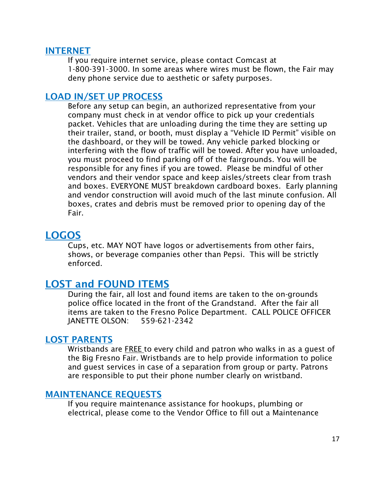#### INTERNET

If you require internet service, please contact Comcast at 1-800-391-3000. In some areas where wires must be flown, the Fair may deny phone service due to aesthetic or safety purposes.

#### LOAD IN/SET UP PROCESS

Before any setup can begin, an authorized representative from your company must check in at vendor office to pick up your credentials packet. Vehicles that are unloading during the time they are setting up their trailer, stand, or booth, must display a "Vehicle ID Permit" visible on the dashboard, or they will be towed. Any vehicle parked blocking or interfering with the flow of traffic will be towed. After you have unloaded, you must proceed to find parking off of the fairgrounds. You will be responsible for any fines if you are towed. Please be mindful of other vendors and their vendor space and keep aisles/streets clear from trash and boxes. EVERYONE MUST breakdown cardboard boxes. Early planning and vendor construction will avoid much of the last minute confusion. All boxes, crates and debris must be removed prior to opening day of the Fair.

### LOGOS

Cups, etc. MAY NOT have logos or advertisements from other fairs, shows, or beverage companies other than Pepsi. This will be strictly enforced.

### LOST and FOUND ITEMS

During the fair, all lost and found items are taken to the on-grounds police office located in the front of the Grandstand. After the fair all items are taken to the Fresno Police Department. CALL POLICE OFFICER JANETTE OLSON: 559-621-2342

#### LOST PARENTS

Wristbands are **FREE** to every child and patron who walks in as a guest of the Big Fresno Fair. Wristbands are to help provide information to police and guest services in case of a separation from group or party. Patrons are responsible to put their phone number clearly on wristband.

#### MAINTENANCE REQUESTS

If you require maintenance assistance for hookups, plumbing or electrical, please come to the Vendor Office to fill out a Maintenance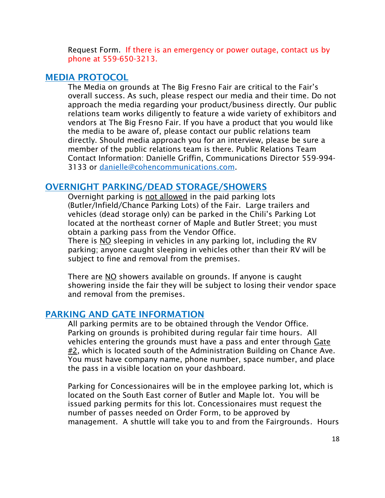Request Form. If there is an emergency or power outage, contact us by phone at 559-650-3213.

#### MEDIA PROTOCOL

The Media on grounds at The Big Fresno Fair are critical to the Fair's overall success. As such, please respect our media and their time. Do not approach the media regarding your product/business directly. Our public relations team works diligently to feature a wide variety of exhibitors and vendors at The Big Fresno Fair. If you have a product that you would like the media to be aware of, please contact our public relations team directly. Should media approach you for an interview, please be sure a member of the public relations team is there. Public Relations Team Contact Information: Danielle Griffin, Communications Director 559-994- 3133 or [danielle@cohencommunications.com.](mailto:danielle@cohencommunications.com)

#### OVERNIGHT PARKING/DEAD STORAGE/SHOWERS

Overnight parking is not allowed in the paid parking lots (Butler/Infield/Chance Parking Lots) of the Fair. Large trailers and vehicles (dead storage only) can be parked in the Chili's Parking Lot located at the northeast corner of Maple and Butler Street; you must obtain a parking pass from the Vendor Office.

There is NO sleeping in vehicles in any parking lot, including the RV parking; anyone caught sleeping in vehicles other than their RV will be subject to fine and removal from the premises.

There are NO showers available on grounds. If anyone is caught showering inside the fair they will be subject to losing their vendor space and removal from the premises.

#### PARKING AND GATE INFORMATION

All parking permits are to be obtained through the Vendor Office. Parking on grounds is prohibited during regular fair time hours. All vehicles entering the grounds must have a pass and enter through Gate #2, which is located south of the Administration Building on Chance Ave. You must have company name, phone number, space number, and place the pass in a visible location on your dashboard.

Parking for Concessionaires will be in the employee parking lot, which is located on the South East corner of Butler and Maple lot. You will be issued parking permits for this lot. Concessionaires must request the number of passes needed on Order Form, to be approved by management. A shuttle will take you to and from the Fairgrounds. Hours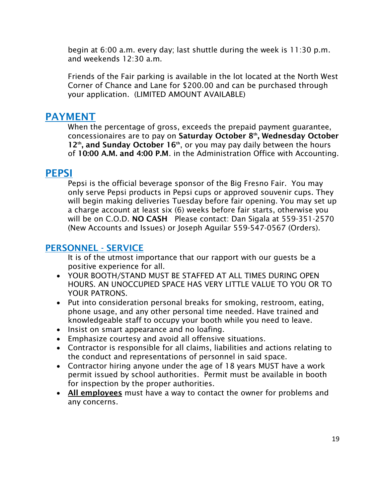begin at 6:00 a.m. every day; last shuttle during the week is 11:30 p.m. and weekends 12:30 a.m.

Friends of the Fair parking is available in the lot located at the North West Corner of Chance and Lane for \$200.00 and can be purchased through your application. (LIMITED AMOUNT AVAILABLE)

### PAYMENT

When the percentage of gross, exceeds the prepaid payment guarantee, concessionaires are to pay on Saturday October 8<sup>th</sup>, Wednesday October  $12<sup>th</sup>$ , and Sunday October 16<sup>th</sup>, or you may pay daily between the hours of 10:00 A.M. and 4:00 P.M. in the Administration Office with Accounting.

### PEPSI

Pepsi is the official beverage sponsor of the Big Fresno Fair. You may only serve Pepsi products in Pepsi cups or approved souvenir cups. They will begin making deliveries Tuesday before fair opening. You may set up a charge account at least six (6) weeks before fair starts, otherwise you will be on C.O.D. NO CASH Please contact: Dan Sigala at 559-351-2570 (New Accounts and Issues) or Joseph Aguilar 559-547-0567 (Orders).

### PERSONNEL - SERVICE

It is of the utmost importance that our rapport with our guests be a positive experience for all.

- YOUR BOOTH/STAND MUST BE STAFFED AT ALL TIMES DURING OPEN HOURS. AN UNOCCUPIED SPACE HAS VERY LITTLE VALUE TO YOU OR TO YOUR PATRONS.
- Put into consideration personal breaks for smoking, restroom, eating, phone usage, and any other personal time needed. Have trained and knowledgeable staff to occupy your booth while you need to leave.
- Insist on smart appearance and no loafing.
- Emphasize courtesy and avoid all offensive situations.
- Contractor is responsible for all claims, liabilities and actions relating to the conduct and representations of personnel in said space.
- Contractor hiring anyone under the age of 18 years MUST have a work permit issued by school authorities. Permit must be available in booth for inspection by the proper authorities.
- All employees must have a way to contact the owner for problems and any concerns.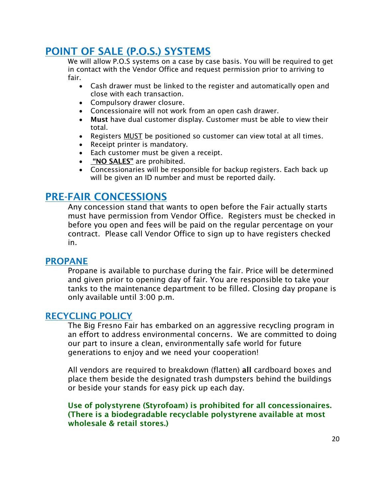### POINT OF SALE (P.O.S.) SYSTEMS

We will allow P.O.S systems on a case by case basis. You will be required to get in contact with the Vendor Office and request permission prior to arriving to fair.

- Cash drawer must be linked to the register and automatically open and close with each transaction.
- Compulsory drawer closure.
- Concessionaire will not work from an open cash drawer.
- Must have dual customer display. Customer must be able to view their total.
- Registers MUST be positioned so customer can view total at all times.
- Receipt printer is mandatory.
- Each customer must be given a receipt.
- "NO SALES" are prohibited.
- Concessionaries will be responsible for backup registers. Each back up will be given an ID number and must be reported daily.

### PRE-FAIR CONCESSIONS

Any concession stand that wants to open before the Fair actually starts must have permission from Vendor Office. Registers must be checked in before you open and fees will be paid on the regular percentage on your contract. Please call Vendor Office to sign up to have registers checked in.

#### PROPANE

Propane is available to purchase during the fair. Price will be determined and given prior to opening day of fair. You are responsible to take your tanks to the maintenance department to be filled. Closing day propane is only available until 3:00 p.m.

#### RECYCLING POLICY

The Big Fresno Fair has embarked on an aggressive recycling program in an effort to address environmental concerns. We are committed to doing our part to insure a clean, environmentally safe world for future generations to enjoy and we need your cooperation!

All vendors are required to breakdown (flatten) all cardboard boxes and place them beside the designated trash dumpsters behind the buildings or beside your stands for easy pick up each day.

Use of polystyrene (Styrofoam) is prohibited for all concessionaires. (There is a biodegradable recyclable polystyrene available at most wholesale & retail stores.)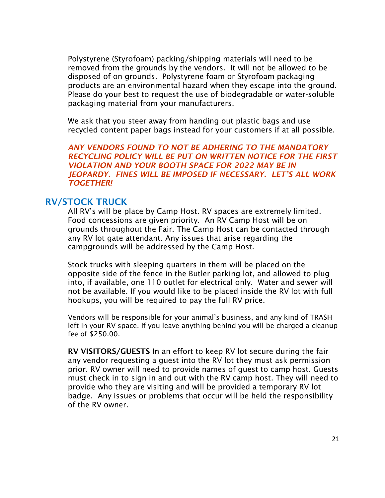Polystyrene (Styrofoam) packing/shipping materials will need to be removed from the grounds by the vendors. It will not be allowed to be disposed of on grounds. Polystyrene foam or Styrofoam packaging products are an environmental hazard when they escape into the ground. Please do your best to request the use of biodegradable or water-soluble packaging material from your manufacturers.

We ask that you steer away from handing out plastic bags and use recycled content paper bags instead for your customers if at all possible.

*ANY VENDORS FOUND TO NOT BE ADHERING TO THE MANDATORY RECYCLING POLICY WILL BE PUT ON WRITTEN NOTICE FOR THE FIRST VIOLATION AND YOUR BOOTH SPACE FOR 2022 MAY BE IN JEOPARDY. FINES WILL BE IMPOSED IF NECESSARY. LET'S ALL WORK TOGETHER!*

#### RV/STOCK TRUCK

All RV's will be place by Camp Host. RV spaces are extremely limited. Food concessions are given priority. An RV Camp Host will be on grounds throughout the Fair. The Camp Host can be contacted through any RV lot gate attendant. Any issues that arise regarding the campgrounds will be addressed by the Camp Host.

Stock trucks with sleeping quarters in them will be placed on the opposite side of the fence in the Butler parking lot, and allowed to plug into, if available, one 110 outlet for electrical only. Water and sewer will not be available. If you would like to be placed inside the RV lot with full hookups, you will be required to pay the full RV price.

Vendors will be responsible for your animal's business, and any kind of TRASH left in your RV space. If you leave anything behind you will be charged a cleanup fee of \$250.00.

RV VISITORS/GUESTS In an effort to keep RV lot secure during the fair any vendor requesting a guest into the RV lot they must ask permission prior. RV owner will need to provide names of guest to camp host. Guests must check in to sign in and out with the RV camp host. They will need to provide who they are visiting and will be provided a temporary RV lot badge. Any issues or problems that occur will be held the responsibility of the RV owner.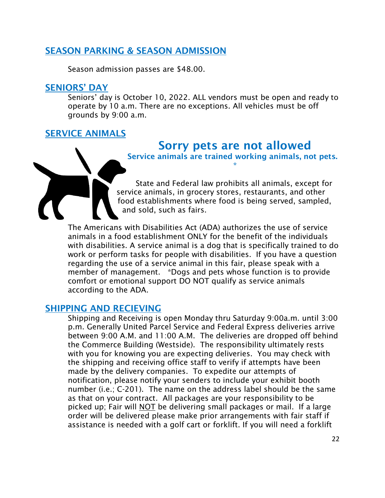### SEASON PARKING & SEASON ADMISSION

Season admission passes are \$48.00.

#### SENIORS' DAY

Seniors' day is October 10, 2022. ALL vendors must be open and ready to operate by 10 a.m. There are no exceptions. All vehicles must be off grounds by 9:00 a.m.

### SERVICE ANIMALS

### Sorry pets are not allowed

Service animals are trained working animals, not pets. \*

State and Federal law prohibits all animals, except for service animals, in grocery stores, restaurants, and other food establishments where food is being served, sampled, and sold, such as fairs.

The Americans with Disabilities Act (ADA) authorizes the use of service animals in a food establishment ONLY for the benefit of the individuals with disabilities. A service animal is a dog that is specifically trained to do work or perform tasks for people with disabilities. If you have a question regarding the use of a service animal in this fair, please speak with a member of management. \*Dogs and pets whose function is to provide comfort or emotional support DO NOT qualify as service animals according to the ADA.

#### SHIPPING AND RECIEVING

Shipping and Receiving is open Monday thru Saturday 9:00a.m. until 3:00 p.m. Generally United Parcel Service and Federal Express deliveries arrive between 9:00 A.M. and 11:00 A.M. The deliveries are dropped off behind the Commerce Building (Westside). The responsibility ultimately rests with you for knowing you are expecting deliveries. You may check with the shipping and receiving office staff to verify if attempts have been made by the delivery companies. To expedite our attempts of notification, please notify your senders to include your exhibit booth number (i.e.; C-201). The name on the address label should be the same as that on your contract. All packages are your responsibility to be picked up; Fair will NOT be delivering small packages or mail. If a large order will be delivered please make prior arrangements with fair staff if assistance is needed with a golf cart or forklift. If you will need a forklift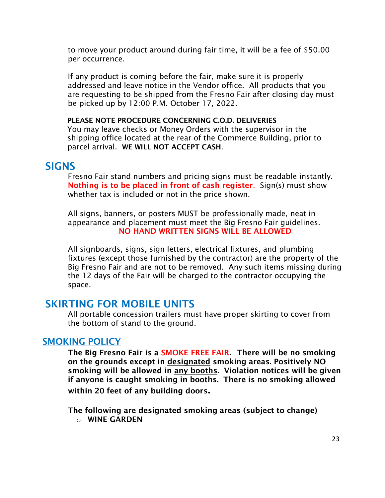to move your product around during fair time, it will be a fee of \$50.00 per occurrence.

If any product is coming before the fair, make sure it is properly addressed and leave notice in the Vendor office. All products that you are requesting to be shipped from the Fresno Fair after closing day must be picked up by 12:00 P.M. October 17, 2022.

#### PLEASE NOTE PROCEDURE CONCERNING C.O.D. DELIVERIES

You may leave checks or Money Orders with the supervisor in the shipping office located at the rear of the Commerce Building, prior to parcel arrival. WE WILL NOT ACCEPT CASH.

#### **SIGNS**

Fresno Fair stand numbers and pricing signs must be readable instantly. Nothing is to be placed in front of cash register. Sign(s) must show whether tax is included or not in the price shown.

All signs, banners, or posters MUST be professionally made, neat in appearance and placement must meet the Big Fresno Fair guidelines. NO HAND WRITTEN SIGNS WILL BE ALLOWED

All signboards, signs, sign letters, electrical fixtures, and plumbing fixtures (except those furnished by the contractor) are the property of the Big Fresno Fair and are not to be removed. Any such items missing during the 12 days of the Fair will be charged to the contractor occupying the space.

### SKIRTING FOR MOBILE UNITS

All portable concession trailers must have proper skirting to cover from the bottom of stand to the ground.

#### SMOKING POLICY

The Big Fresno Fair is a SMOKE FREE FAIR. There will be no smoking on the grounds except in designated smoking areas. Positively NO smoking will be allowed in any booths. Violation notices will be given if anyone is caught smoking in booths. There is no smoking allowed within 20 feet of any building doors.

The following are designated smoking areas (subject to change)

 $\circ$  WINE GARDEN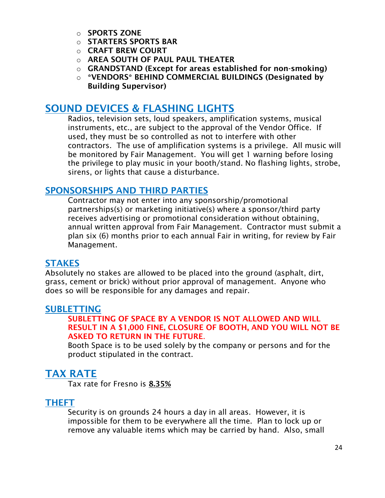- o SPORTS ZONE
- o STARTERS SPORTS BAR
- o CRAFT BREW COURT
- o AREA SOUTH OF PAUL PAUL THEATER
- o GRANDSTAND (Except for areas established for non-smoking)
- o \*VENDORS\* BEHIND COMMERCIAL BUILDINGS (Designated by Building Supervisor)

### SOUND DEVICES & FLASHING LIGHTS

Radios, television sets, loud speakers, amplification systems, musical instruments, etc., are subject to the approval of the Vendor Office. If used, they must be so controlled as not to interfere with other contractors. The use of amplification systems is a privilege. All music will be monitored by Fair Management. You will get 1 warning before losing the privilege to play music in your booth/stand. No flashing lights, strobe, sirens, or lights that cause a disturbance.

### SPONSORSHIPS AND THIRD PARTIES

Contractor may not enter into any sponsorship/promotional partnerships(s) or marketing initiative(s) where a sponsor/third party receives advertising or promotional consideration without obtaining, annual written approval from Fair Management. Contractor must submit a plan six (6) months prior to each annual Fair in writing, for review by Fair Management.

#### **STAKES**

Absolutely no stakes are allowed to be placed into the ground (asphalt, dirt, grass, cement or brick) without prior approval of management. Anyone who does so will be responsible for any damages and repair.

### SUBLETTING

#### SUBLETTING OF SPACE BY A VENDOR IS NOT ALLOWED AND WILL RESULT IN A \$1,000 FINE, CLOSURE OF BOOTH, AND YOU WILL NOT BE ASKED TO RETURN IN THE FUTURE.

Booth Space is to be used solely by the company or persons and for the product stipulated in the contract.

### TAX RATE

Tax rate for Fresno is 8.35%

### THEFT

Security is on grounds 24 hours a day in all areas. However, it is impossible for them to be everywhere all the time. Plan to lock up or remove any valuable items which may be carried by hand. Also, small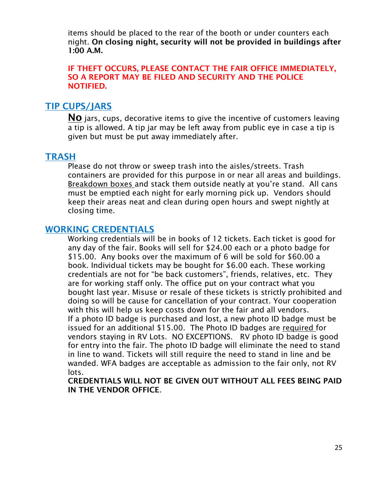items should be placed to the rear of the booth or under counters each night. On closing night, security will not be provided in buildings after 1:00 A.M.

IF THEFT OCCURS, PLEASE CONTACT THE FAIR OFFICE IMMEDIATELY, SO A REPORT MAY BE FILED AND SECURITY AND THE POLICE NOTIFIED.

#### TIP CUPS/JARS

NO jars, cups, decorative items to give the incentive of customers leaving a tip is allowed. A tip jar may be left away from public eye in case a tip is given but must be put away immediately after.

#### **TRASH**

Please do not throw or sweep trash into the aisles/streets. Trash containers are provided for this purpose in or near all areas and buildings. Breakdown boxes and stack them outside neatly at you're stand. All cans must be emptied each night for early morning pick up. Vendors should keep their areas neat and clean during open hours and swept nightly at closing time.

#### WORKING CREDENTIALS

Working credentials will be in books of 12 tickets. Each ticket is good for any day of the fair. Books will sell for \$24.00 each or a photo badge for \$15.00. Any books over the maximum of 6 will be sold for \$60.00 a book. Individual tickets may be bought for \$6.00 each. These working credentials are not for "be back customers", friends, relatives, etc. They are for working staff only. The office put on your contract what you bought last year. Misuse or resale of these tickets is strictly prohibited and doing so will be cause for cancellation of your contract. Your cooperation with this will help us keep costs down for the fair and all vendors. If a photo ID badge is purchased and lost, a new photo ID badge must be issued for an additional \$15.00. The Photo ID badges are required for vendors staying in RV Lots. NO EXCEPTIONS. RV photo ID badge is good for entry into the fair. The photo ID badge will eliminate the need to stand in line to wand. Tickets will still require the need to stand in line and be wanded. WFA badges are acceptable as admission to the fair only, not RV lots.

CREDENTIALS WILL NOT BE GIVEN OUT WITHOUT ALL FEES BEING PAID IN THE VENDOR OFFICE.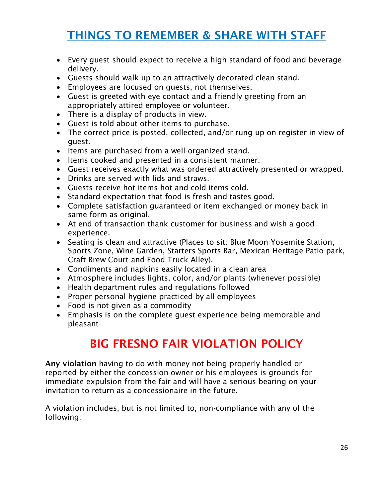# THINGS TO REMEMBER & SHARE WITH STAFF

- Every guest should expect to receive a high standard of food and beverage delivery.
- Guests should walk up to an attractively decorated clean stand.
- Employees are focused on guests, not themselves.
- Guest is greeted with eye contact and a friendly greeting from an appropriately attired employee or volunteer.
- There is a display of products in view.
- Guest is told about other items to purchase.
- The correct price is posted, collected, and/or rung up on register in view of guest.
- Items are purchased from a well-organized stand.
- Items cooked and presented in a consistent manner.
- Guest receives exactly what was ordered attractively presented or wrapped.
- Drinks are served with lids and straws.
- Guests receive hot items hot and cold items cold.
- Standard expectation that food is fresh and tastes good.
- Complete satisfaction guaranteed or item exchanged or money back in same form as original.
- At end of transaction thank customer for business and wish a good experience.
- Seating is clean and attractive (Places to sit: Blue Moon Yosemite Station, Sports Zone, Wine Garden, Starters Sports Bar, Mexican Heritage Patio park, Craft Brew Court and Food Truck Alley).
- Condiments and napkins easily located in a clean area
- Atmosphere includes lights, color, and/or plants (whenever possible)
- Health department rules and regulations followed
- Proper personal hygiene practiced by all employees
- Food is not given as a commodity
- Emphasis is on the complete guest experience being memorable and pleasant

# BIG FRESNO FAIR VIOLATION POLICY

Any violation having to do with money not being properly handled or reported by either the concession owner or his employees is grounds for immediate expulsion from the fair and will have a serious bearing on your invitation to return as a concessionaire in the future.

A violation includes, but is not limited to, non-compliance with any of the following: